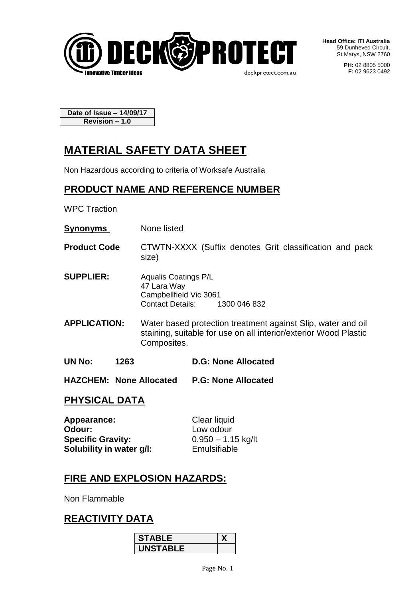

**Head Office: ITI Australia** 59 Dunheved Circuit, St Marys, NSW 2760

> **PH:** 02 8805 5000 **F:** 02 9623 0492

**Date of Issue – 14/09/17 Revision – 1.0**

# **MATERIAL SAFETY DATA SHEET**

Non Hazardous according to criteria of Worksafe Australia

## **PRODUCT NAME AND REFERENCE NUMBER**

WPC Traction

- **Synonyms** None listed
- **Product Code** CTWTN-XXXX (Suffix denotes Grit classification and pack size)
- **SUPPLIER:** Aqualis Coatings P/L 47 Lara Way Campbellfield Vic 3061 Contact Details: 1300 046 832
- **APPLICATION:** Water based protection treatment against Slip, water and oil staining, suitable for use on all interior/exterior Wood Plastic Composites.
- **UN No: 1263 D.G: None Allocated**
- **HAZCHEM: None Allocated P.G: None Allocated**

## **PHYSICAL DATA**

**Appearance:** Clear liquid **Odour:** Low odour **Specific Gravity:** 0.950 – 1.15 kg/lt **Solubility in water g/l:** Emulsifiable

## **FIRE AND EXPLOSION HAZARDS:**

Non Flammable

## **REACTIVITY DATA**

| <b>STABLE</b>   |  |
|-----------------|--|
| <b>UNSTABLE</b> |  |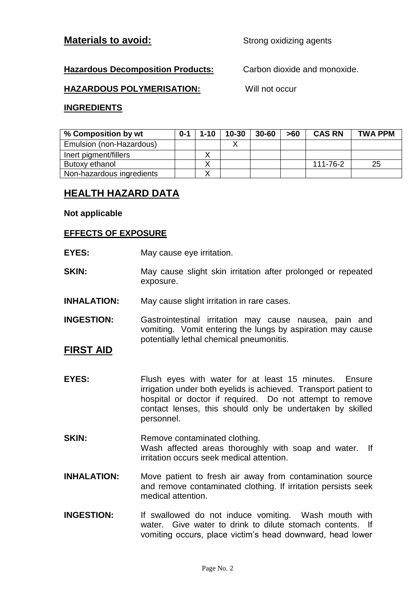#### **Materials to avoid:** Strong oxidizing agents

#### **Hazardous Decomposition Products:** Carbon dioxide and monoxide.

#### **HAZARDOUS POLYMERISATION:** Will not occur

#### **INGREDIENTS**

| % Composition by wt       | $0 - 1$ | $1 - 10$ | $10 - 30$ | $30 - 60$ | >60 | <b>CAS RN</b> | <b>TWA PPM</b> |
|---------------------------|---------|----------|-----------|-----------|-----|---------------|----------------|
| Emulsion (non-Hazardous)  |         |          |           |           |     |               |                |
| Inert pigment/fillers     |         |          |           |           |     |               |                |
| Butoxy ethanol            |         |          |           |           |     | 111-76-2      | 25             |
| Non-hazardous ingredients |         |          |           |           |     |               |                |

## **HEALTH HAZARD DATA**

#### **Not applicable**

#### **EFFECTS OF EXPOSURE**

- **EYES:** May cause eye irritation.
- **SKIN:** May cause slight skin irritation after prolonged or repeated exposure.
- **INHALATION:** May cause slight irritation in rare cases.
- **INGESTION:** Gastrointestinal irritation may cause nausea, pain and vomiting. Vomit entering the lungs by aspiration may cause potentially lethal chemical pneumonitis.

#### **FIRST AID**

- **EYES:** Flush eyes with water for at least 15 minutes. Ensure irrigation under both eyelids is achieved. Transport patient to hospital or doctor if required. Do not attempt to remove contact lenses, this should only be undertaken by skilled personnel.
- **SKIN:** Remove contaminated clothing. Wash affected areas thoroughly with soap and water. If irritation occurs seek medical attention.
- **INHALATION:** Move patient to fresh air away from contamination source and remove contaminated clothing. If irritation persists seek medical attention.
- **INGESTION:** If swallowed do not induce vomiting. Wash mouth with water. Give water to drink to dilute stomach contents. If vomiting occurs, place victim's head downward, head lower